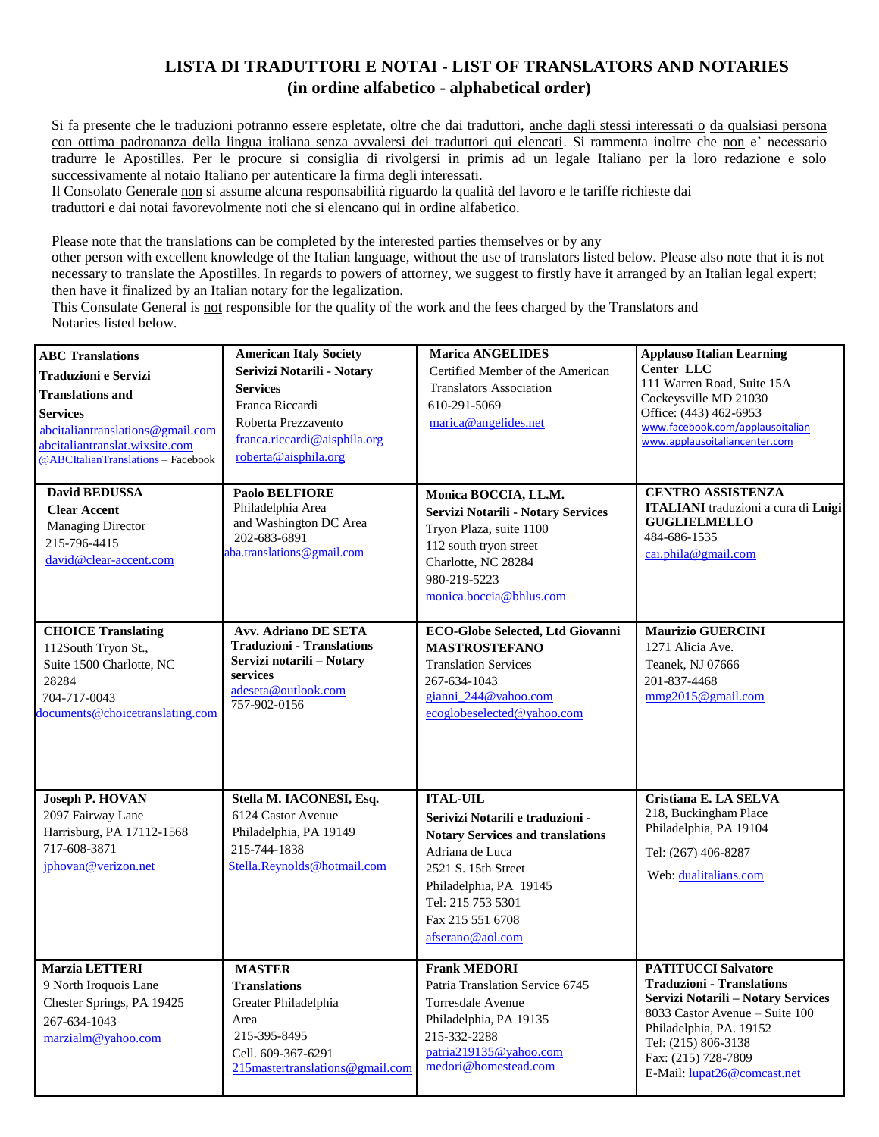## **LISTA DI TRADUTTORI E NOTAI - LIST OF TRANSLATORS AND NOTARIES (in ordine alfabetico - alphabetical order)**

Si fa presente che le traduzioni potranno essere espletate, oltre che dai traduttori, anche dagli stessi interessati o da qualsiasi persona con ottima padronanza della lingua italiana senza avvalersi dei traduttori qui elencati. Si rammenta inoltre che non e' necessario tradurre le Apostilles. Per le procure si consiglia di rivolgersi in primis ad un legale Italiano per la loro redazione e solo successivamente al notaio Italiano per autenticare la firma degli interessati.

Il Consolato Generale non si assume alcuna responsabilità riguardo la qualità del lavoro e le tariffe richieste dai traduttori e dai notai favorevolmente noti che si elencano qui in ordine alfabetico.

Please note that the translations can be completed by the interested parties themselves or by any

other person with excellent knowledge of the Italian language, without the use of translators listed below. Please also note that it is not necessary to translate the Apostilles. In regards to powers of attorney, we suggest to firstly have it arranged by an Italian legal expert; then have it finalized by an Italian notary for the legalization.

This Consulate General is not responsible for the quality of the work and the fees charged by the Translators and Notaries listed below.

| <b>ABC Translations</b><br><b>Traduzioni e Servizi</b><br><b>Translations and</b><br><b>Services</b><br>abcitaliantranslations@gmail.com<br>abcitaliantranslat.wixsite.com<br>@ABCItalianTranslations-Facebook | <b>American Italy Society</b><br>Serivizi Notarili - Notary<br><b>Services</b><br>Franca Riccardi<br>Roberta Prezzavento<br>franca.riccardi@aisphila.org<br>roberta@aisphila.org | <b>Marica ANGELIDES</b><br>Certified Member of the American<br><b>Translators Association</b><br>610-291-5069<br>marica@angelides.net                                                                                           | <b>Applauso Italian Learning</b><br>Center LLC<br>111 Warren Road, Suite 15A<br>Cockeysville MD 21030<br>Office: (443) 462-6953<br>www.facebook.com/applausoitalian<br>www.applausoitaliancenter.com                                                  |
|----------------------------------------------------------------------------------------------------------------------------------------------------------------------------------------------------------------|----------------------------------------------------------------------------------------------------------------------------------------------------------------------------------|---------------------------------------------------------------------------------------------------------------------------------------------------------------------------------------------------------------------------------|-------------------------------------------------------------------------------------------------------------------------------------------------------------------------------------------------------------------------------------------------------|
| <b>David BEDUSSA</b><br><b>Clear Accent</b><br><b>Managing Director</b><br>215-796-4415<br>david@clear-accent.com                                                                                              | <b>Paolo BELFIORE</b><br>Philadelphia Area<br>and Washington DC Area<br>202-683-6891<br>ba.translations@gmail.com                                                                | Monica BOCCIA, LL.M.<br>Servizi Notarili - Notary Services<br>Tryon Plaza, suite 1100<br>112 south tryon street<br>Charlotte, NC 28284<br>980-219-5223<br>monica.boccia@bhlus.com                                               | <b>CENTRO ASSISTENZA</b><br>ITALIANI traduzioni a cura di Luigi<br><b>GUGLIELMELLO</b><br>484-686-1535<br>cai. phila@gmail.com                                                                                                                        |
| <b>CHOICE Translating</b><br>112South Tryon St.,<br>Suite 1500 Charlotte, NC<br>28284<br>704-717-0043<br>documents@choicetranslating.com                                                                       | <b>Avv. Adriano DE SETA</b><br><b>Traduzioni - Translations</b><br>Servizi notarili - Notary<br>services<br>adeseta@outlook.com<br>757-902-0156                                  | <b>ECO-Globe Selected, Ltd Giovanni</b><br><b>MASTROSTEFANO</b><br><b>Translation Services</b><br>267-634-1043<br>gianni 244@yahoo.com<br>ecoglobeselected@yahoo.com                                                            | <b>Maurizio GUERCINI</b><br>1271 Alicia Ave.<br>Teanek, NJ 07666<br>201-837-4468<br>$\frac{\text{mmg2015}}{0 \text{gmail.com}}$                                                                                                                       |
| <b>Joseph P. HOVAN</b><br>2097 Fairway Lane<br>Harrisburg, PA 17112-1568<br>717-608-3871<br>jphovan@verizon.net                                                                                                | Stella M. IACONESI, Esq.<br>6124 Castor Avenue<br>Philadelphia, PA 19149<br>215-744-1838<br>Stella.Reynolds@hotmail.com                                                          | <b>ITAL-UIL</b><br>Serivizi Notarili e traduzioni -<br><b>Notary Services and translations</b><br>Adriana de Luca<br>2521 S. 15th Street<br>Philadelphia, PA 19145<br>Tel: 215 753 5301<br>Fax 215 551 6708<br>afserano@aol.com | Cristiana E. LA SELVA<br>218, Buckingham Place<br>Philadelphia, PA 19104<br>Tel: (267) 406-8287<br>Web: dualitalians.com                                                                                                                              |
| Marzia LETTERI<br>9 North Iroquois Lane<br>Chester Springs, PA 19425<br>267-634-1043<br>marzialm@yahoo.com                                                                                                     | <b>MASTER</b><br><b>Translations</b><br>Greater Philadelphia<br>Area<br>215-395-8495<br>Cell. 609-367-6291<br>215 master translations @ gmail.com                                | <b>Frank MEDORI</b><br>Patria Translation Service 6745<br>Torresdale Avenue<br>Philadelphia, PA 19135<br>215-332-2288<br>patria219135@yahoo.com<br>medori@homestead.com                                                         | <b>PATITUCCI Salvatore</b><br><b>Traduzioni - Translations</b><br>Servizi Notarili - Notary Services<br>8033 Castor Avenue - Suite 100<br>Philadelphia, PA. 19152<br>Tel: (215) 806-3138<br>Fax: (215) 728-7809<br>E-Mail: <u>lupat26@comcast.net</u> |